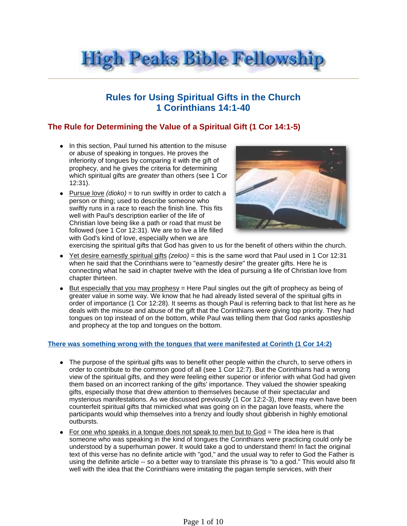

# **Rules for Using Spiritual Gifts in the Church 1 Corinthians 14:1-40**

## **The Rule for Determining the Value of a Spiritual Gift (1 Cor 14:1-5)**

- In this section, Paul turned his attention to the misuse or abuse of speaking in tongues. He proves the inferiority of tongues by comparing it with the gift of prophecy, and he gives the criteria for determining which spiritual gifts are greater than others (see 1 Cor 12:31).
- Pursue love  $(dioko) = to run$  swiftly in order to catch a person or thing; used to describe someone who swiftly runs in a race to reach the finish line. This fits well with Paul's description earlier of the life of Christian love being like a path or road that must be followed (see 1 Cor 12:31). We are to live a life filled with God's kind of love, especially when we are



exercising the spiritual gifts that God has given to us for the benefit of others within the church.

- $\bullet$  Yet desire earnestly spiritual gifts (zeloo) = this is the same word that Paul used in 1 Cor 12:31 when he said that the Corinthians were to "earnestly desire" the greater gifts. Here he is connecting what he said in chapter twelve with the idea of pursuing a life of Christian love from chapter thirteen.
- $\bullet$  But especially that you may prophesy = Here Paul singles out the gift of prophecy as being of greater value in some way. We know that he had already listed several of the spiritual gifts in order of importance (1 Cor 12:28). It seems as though Paul is referring back to that list here as he deals with the misuse and abuse of the gift that the Corinthians were giving top priority. They had tongues on top instead of on the bottom, while Paul was telling them that God ranks apostleship and prophecy at the top and tongues on the bottom.

#### **There was something wrong with the tongues that were manifested at Corinth (1 Cor 14:2)**

- The purpose of the spiritual gifts was to benefit other people within the church, to serve others in order to contribute to the common good of all (see 1 Cor 12:7). But the Corinthians had a wrong view of the spiritual gifts, and they were feeling either superior or inferior with what God had given them based on an incorrect ranking of the gifts' importance. They valued the showier speaking gifts, especially those that drew attention to themselves because of their spectacular and mysterious manifestations. As we discussed previously (1 Cor 12:2-3), there may even have been counterfeit spiritual gifts that mimicked what was going on in the pagan love feasts, where the participants would whip themselves into a frenzy and loudly shout gibberish in highly emotional outbursts.
- For one who speaks in a tongue does not speak to men but to  $God = The idea here$  is that someone who was speaking in the kind of tongues the Corinthians were practicing could only be understood by a superhuman power. It would take a god to understand them! In fact the original text of this verse has no definite article with "god," and the usual way to refer to God the Father is using the definite article -- so a better way to translate this phrase is "to a god." This would also fit well with the idea that the Corinthians were imitating the pagan temple services, with their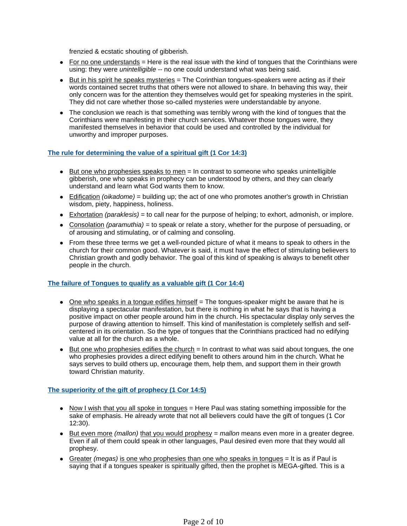frenzied & ecstatic shouting of gibberish.

- $\bullet$  For no one understands = Here is the real issue with the kind of tongues that the Corinthians were using: they were *unintelligible* -- no one could understand what was being said.
- $\bullet$  But in his spirit he speaks mysteries  $=$  The Corinthian tongues-speakers were acting as if their words contained secret truths that others were not allowed to share. In behaving this way, their only concern was for the attention they themselves would get for speaking mysteries in the spirit. They did not care whether those so-called mysteries were understandable by anyone.
- The conclusion we reach is that something was terribly wrong with the kind of tongues that the Corinthians were manifesting in their church services. Whatever those tongues were, they manifested themselves in behavior that could be used and controlled by the individual for unworthy and improper purposes.

### **The rule for determining the value of a spiritual gift (1 Cor 14:3)**

- $\bullet$  But one who prophesies speaks to men = In contrast to someone who speaks unintelligible gibberish, one who speaks in prophecy can be understood by others, and they can clearly understand and learn what God wants them to know.
- Edification (oikadome) = building up; the act of one who promotes another's growth in Christian wisdom, piety, happiness, holiness.
- Exhortation (paraklesis) = to call near for the purpose of helping; to exhort, admonish, or implore.
- Consolation (paramuthia) = to speak or relate a story, whether for the purpose of persuading, or of arousing and stimulating, or of calming and consoling.
- From these three terms we get a well-rounded picture of what it means to speak to others in the church for their common good. Whatever is said, it must have the effect of stimulating believers to Christian growth and godly behavior. The goal of this kind of speaking is always to benefit other people in the church.

## **The failure of Tongues to qualify as a valuable gift (1 Cor 14:4)**

- $\bullet$  One who speaks in a tongue edifies himself  $=$  The tongues-speaker might be aware that he is displaying a spectacular manifestation, but there is nothing in what he says that is having a positive impact on other people around him in the church. His spectacular display only serves the purpose of drawing attention to himself. This kind of manifestation is completely selfish and selfcentered in its orientation. So the type of tongues that the Corinthians practiced had no edifying value at all for the church as a whole.
- $\bullet$  But one who prophesies edifies the church  $=$  In contrast to what was said about tongues, the one who prophesies provides a direct edifying benefit to others around him in the church. What he says serves to build others up, encourage them, help them, and support them in their growth toward Christian maturity.

## **The superiority of the gift of prophecy (1 Cor 14:5)**

- $\bullet$  Now I wish that you all spoke in tongues  $=$  Here Paul was stating something impossible for the sake of emphasis. He already wrote that not all believers could have the gift of tongues (1 Cor 12:30).
- But even more (mallon) that you would prophesy  $=$  mallon means even more in a greater degree. Even if all of them could speak in other languages, Paul desired even more that they would all prophesy.
- Greater (megas) is one who prophesies than one who speaks in tongues  $=$  It is as if Paul is saying that if a tongues speaker is spiritually gifted, then the prophet is MEGA-gifted. This is a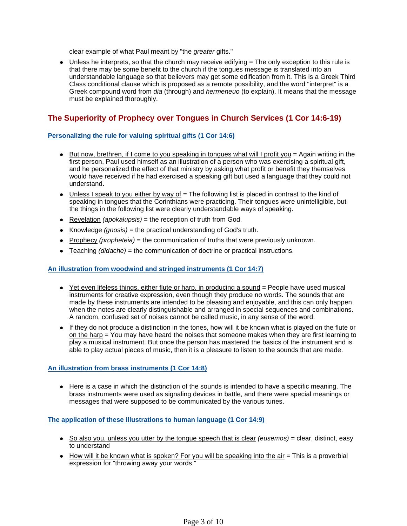clear example of what Paul meant by "the greater gifts."

• Unless he interprets, so that the church may receive edifying = The only exception to this rule is that there may be some benefit to the church if the tongues message is translated into an understandable language so that believers may get some edification from it. This is a Greek Third Class conditional clause which is proposed as a remote possibility, and the word "interpret" is a Greek compound word from dia (through) and hermeneuo (to explain). It means that the message must be explained thoroughly.

## **The Superiority of Prophecy over Tongues in Church Services (1 Cor 14:6-19)**

## **Personalizing the rule for valuing spiritual gifts (1 Cor 14:6)**

- $\bullet$  But now, brethren, if I come to you speaking in tongues what will I profit you = Again writing in the first person, Paul used himself as an illustration of a person who was exercising a spiritual gift, and he personalized the effect of that ministry by asking what profit or benefit they themselves would have received if he had exercised a speaking gift but used a language that they could not understand.
- $\bullet$  Unless I speak to you either by way of  $=$  The following list is placed in contrast to the kind of speaking in tongues that the Corinthians were practicing. Their tongues were unintelligible, but the things in the following list were clearly understandable ways of speaking.
- Revelation (apokalupsis) = the reception of truth from God.
- Knowledge  $(gnosis)$  = the practical understanding of God's truth.
- Prophecy (*propheteia*) = the communication of truths that were previously unknown.
- $\bullet$  Teaching (didache) = the communication of doctrine or practical instructions.

## **An illustration from woodwind and stringed instruments (1 Cor 14:7)**

- $\bullet$  Yet even lifeless things, either flute or harp, in producing a sound  $=$  People have used musical instruments for creative expression, even though they produce no words. The sounds that are made by these instruments are intended to be pleasing and enjoyable, and this can only happen when the notes are clearly distinguishable and arranged in special sequences and combinations. A random, confused set of noises cannot be called music, in any sense of the word.
- If they do not produce a distinction in the tones, how will it be known what is played on the flute or on the harp = You may have heard the noises that someone makes when they are first learning to play a musical instrument. But once the person has mastered the basics of the instrument and is able to play actual pieces of music, then it is a pleasure to listen to the sounds that are made.

## **An illustration from brass instruments (1 Cor 14:8)**

• Here is a case in which the distinction of the sounds is intended to have a specific meaning. The brass instruments were used as signaling devices in battle, and there were special meanings or messages that were supposed to be communicated by the various tunes.

## **The application of these illustrations to human language (1 Cor 14:9)**

- $\bullet$  So also you, unless you utter by the tongue speech that is clear (eusemos) = clear, distinct, easy to understand
- $\bullet$  How will it be known what is spoken? For you will be speaking into the air  $=$  This is a proverbial expression for "throwing away your words."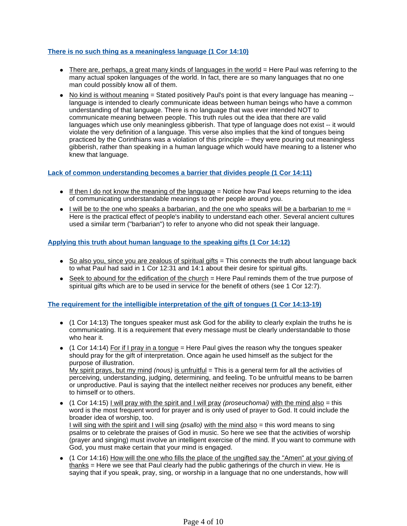### **There is no such thing as a meaningless language (1 Cor 14:10)**

- $\bullet$  There are, perhaps, a great many kinds of languages in the world  $=$  Here Paul was referring to the many actual spoken languages of the world. In fact, there are so many languages that no one man could possibly know all of them.
- No kind is without meaning = Stated positively Paul's point is that every language has meaning -language is intended to clearly communicate ideas between human beings who have a common understanding of that language. There is no language that was ever intended NOT to communicate meaning between people. This truth rules out the idea that there are valid languages which use only meaningless gibberish. That type of language does not exist -- it would violate the very definition of a language. This verse also implies that the kind of tongues being practiced by the Corinthians was a violation of this principle -- they were pouring out meaningless gibberish, rather than speaking in a human language which would have meaning to a listener who knew that language.

#### **Lack of common understanding becomes a barrier that divides people (1 Cor 14:11)**

- If then I do not know the meaning of the language  $=$  Notice how Paul keeps returning to the idea of communicating understandable meanings to other people around you.
- $\bullet$  I will be to the one who speaks a barbarian, and the one who speaks will be a barbarian to me = Here is the practical effect of people's inability to understand each other. Several ancient cultures used a similar term ("barbarian") to refer to anyone who did not speak their language.

### **Applying this truth about human language to the speaking gifts (1 Cor 14:12)**

- $\bullet$  So also you, since you are zealous of spiritual gifts  $=$  This connects the truth about language back to what Paul had said in 1 Cor 12:31 and 14:1 about their desire for spiritual gifts.
- $\bullet$  Seek to abound for the edification of the church  $=$  Here Paul reminds them of the true purpose of spiritual gifts which are to be used in service for the benefit of others (see 1 Cor 12:7).

#### **The requirement for the intelligible interpretation of the gift of tongues (1 Cor 14:13-19)**

- $\bullet$  (1 Cor 14:13) The tongues speaker must ask God for the ability to clearly explain the truths he is communicating. It is a requirement that every message must be clearly understandable to those who hear it.
- $\bullet$  (1 Cor 14:14) For if I pray in a tongue = Here Paul gives the reason why the tongues speaker should pray for the gift of interpretation. Once again he used himself as the subject for the purpose of illustration. My spirit prays, but my mind *(nous)* is unfruitful  $=$  This is a general term for all the activities of

perceiving, understanding, judging, determining, and feeling. To be unfruitful means to be barren or unproductive. Paul is saying that the intellect neither receives nor produces any benefit, either to himself or to others.

- $\bullet$  (1 Cor 14:15) I will pray with the spirit and I will pray *(proseuchomai)* with the mind also = this word is the most frequent word for prayer and is only used of prayer to God. It could include the broader idea of worship, too. I will sing with the spirit and I will sing (psallo) with the mind also  $=$  this word means to sing psalms or to celebrate the praises of God in music. So here we see that the activities of worship (prayer and singing) must involve an intelligent exercise of the mind. If you want to commune with God, you must make certain that your mind is engaged.
- (1 Cor 14:16) How will the one who fills the place of the ungifted say the "Amen" at your giving of thanks = Here we see that Paul clearly had the public gatherings of the church in view. He is saying that if you speak, pray, sing, or worship in a language that no one understands, how will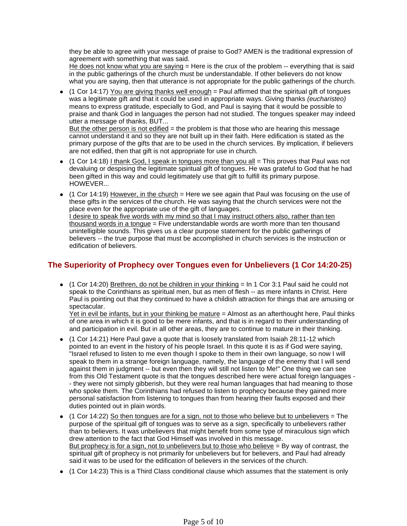they be able to agree with your message of praise to God? AMEN is the traditional expression of agreement with something that was said.

He does not know what you are saying  $=$  Here is the crux of the problem  $-$  everything that is said in the public gatherings of the church must be understandable. If other believers do not know what you are saying, then that utterance is not appropriate for the public gatherings of the church.

(1 Cor 14:17) You are giving thanks well enough = Paul affirmed that the spiritual gift of tongues was a legitimate gift and that it could be used in appropriate ways. Giving thanks (eucharisteo) means to express gratitude, especially to God, and Paul is saying that it would be possible to praise and thank God in languages the person had not studied. The tongues speaker may indeed utter a message of thanks, BUT...

But the other person is not edified  $=$  the problem is that those who are hearing this message cannot understand it and so they are not built up in their faith. Here edification is stated as the primary purpose of the gifts that are to be used in the church services. By implication, if believers are not edified, then that gift is not appropriate for use in church.

- $(1$  Cor 14:18) I thank God, I speak in tongues more than you all = This proves that Paul was not devaluing or despising the legitimate spiritual gift of tongues. He was grateful to God that he had been gifted in this way and could legitimately use that gift to fulfill its primary purpose. HOWEVER...
- $\bullet$  (1 Cor 14:19) However, in the church = Here we see again that Paul was focusing on the use of these gifts in the services of the church. He was saying that the church services were not the place even for the appropriate use of the gift of languages. I desire to speak five words with my mind so that I may instruct others also, rather than ten thousand words in a tongue = Five understandable words are worth more than ten thousand unintelligible sounds. This gives us a clear purpose statement for the public gatherings of believers -- the true purpose that must be accomplished in church services is the instruction or edification of believers.

## **The Superiority of Prophecy over Tongues even for Unbelievers (1 Cor 14:20-25)**

 $\bullet$  (1 Cor 14:20) Brethren, do not be children in your thinking = In 1 Cor 3:1 Paul said he could not speak to the Corinthians as spiritual men, but as men of flesh -- as mere infants in Christ. Here Paul is pointing out that they continued to have a childish attraction for things that are amusing or spectacular.

Yet in evil be infants, but in your thinking be mature = Almost as an afterthought here, Paul thinks of one area in which it is good to be mere infants, and that is in regard to their understanding of and participation in evil. But in all other areas, they are to continue to mature in their thinking.

- (1 Cor 14:21) Here Paul gave a quote that is loosely translated from Isaiah 28:11-12 which pointed to an event in the history of his people Israel. In this quote it is as if God were saying, "Israel refused to listen to me even though I spoke to them in their own language, so now I will speak to them in a strange foreign language, namely, the language of the enemy that I will send against them in judgment -- but even then they will still not listen to Me!" One thing we can see from this Old Testament quote is that the tongues described here were actual foreign languages - - they were not simply gibberish, but they were real human languages that had meaning to those who spoke them. The Corinthians had refused to listen to prophecy because they gained more personal satisfaction from listening to tongues than from hearing their faults exposed and their duties pointed out in plain words.
- $\bullet$  (1 Cor 14:22) So then tongues are for a sign, not to those who believe but to unbelievers = The purpose of the spiritual gift of tongues was to serve as a sign, specifically to unbelievers rather than to believers. It was unbelievers that might benefit from some type of miraculous sign which drew attention to the fact that God Himself was involved in this message. But prophecy is for a sign, not to unbelievers but to those who believe = By way of contrast, the spiritual gift of prophecy is not primarily for unbelievers but for believers, and Paul had already said it was to be used for the edification of believers in the services of the church.
- (1 Cor 14:23) This is a Third Class conditional clause which assumes that the statement is only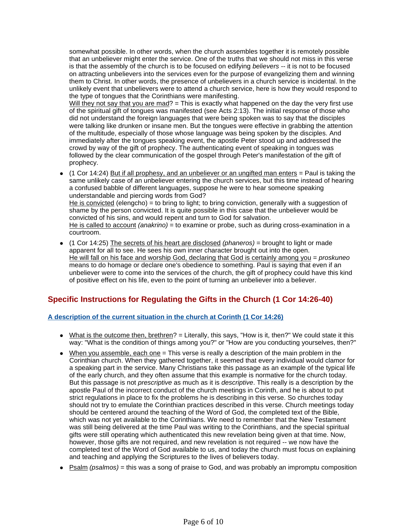somewhat possible. In other words, when the church assembles together it is remotely possible that an unbeliever might enter the service. One of the truths that we should not miss in this verse is that the assembly of the church is to be focused on edifying *believers* -- it is not to be focused on attracting unbelievers into the services even for the purpose of evangelizing them and winning them to Christ. In other words, the presence of unbelievers in a church service is incidental. In the unlikely event that unbelievers were to attend a church service, here is how they would respond to the type of tongues that the Corinthians were manifesting.

Will they not say that you are mad?  $=$  This is exactly what happened on the day the very first use of the spiritual gift of tongues was manifested (see Acts 2:13). The initial response of those who did not understand the foreign languages that were being spoken was to say that the disciples were talking like drunken or insane men. But the tongues were effective in grabbing the attention of the multitude, especially of those whose language was being spoken by the disciples. And immediately after the tongues speaking event, the apostle Peter stood up and addressed the crowd by way of the gift of prophecy. The authenticating event of speaking in tongues was followed by the clear communication of the gospel through Peter's manifestation of the gift of prophecy.

- $\bullet$  (1 Cor 14:24) But if all prophesy, and an unbeliever or an ungifted man enters  $=$  Paul is taking the same unlikely case of an unbeliever entering the church services, but this time instead of hearing a confused babble of different languages, suppose he were to hear someone speaking understandable and piercing words from God? He is convicted (elengcho) = to bring to light; to bring conviction, generally with a suggestion of shame by the person convicted. It is quite possible in this case that the unbeliever would be convicted of his sins, and would repent and turn to God for salvation. He is called to account (anakrino) = to examine or probe, such as during cross-examination in a courtroom.
- $\bullet$  (1 Cor 14:25) The secrets of his heart are disclosed (phaneros) = brought to light or made apparent for all to see. He sees his own inner character brought out into the open. He will fall on his face and worship God, declaring that God is certainly among you =  $proskuneo$ means to do homage or declare one's obedience to something. Paul is saying that even if an unbeliever were to come into the services of the church, the gift of prophecy could have this kind of positive effect on his life, even to the point of turning an unbeliever into a believer.

## **Specific Instructions for Regulating the Gifts in the Church (1 Cor 14:26-40)**

## **A description of the current situation in the church at Corinth (1 Cor 14:26)**

- $\bullet$  What is the outcome then, brethren? = Literally, this says, "How is it, then?" We could state it this way: "What is the condition of things among you?" or "How are you conducting yourselves, then?"
- $\bullet$  When you assemble, each one = This verse is really a description of the main problem in the Corinthian church. When they gathered together, it seemed that every individual would clamor for a speaking part in the service. Many Christians take this passage as an example of the typical life of the early church, and they often assume that this example is normative for the church today. But this passage is not *prescriptive* as much as it is *descriptive*. This really is a description by the apostle Paul of the incorrect conduct of the church meetings in Corinth, and he is about to put strict regulations in place to fix the problems he is describing in this verse. So churches today should not try to emulate the Corinthian practices described in this verse. Church meetings today should be centered around the teaching of the Word of God, the completed text of the Bible, which was not yet available to the Corinthians. We need to remember that the New Testament was still being delivered at the time Paul was writing to the Corinthians, and the special spiritual gifts were still operating which authenticated this new revelation being given at that time. Now, however, those gifts are not required, and new revelation is not required -- we now have the completed text of the Word of God available to us, and today the church must focus on explaining and teaching and applying the Scriptures to the lives of believers today.
- $\bullet$  Psalm (psalmos) = this was a song of praise to God, and was probably an impromptu composition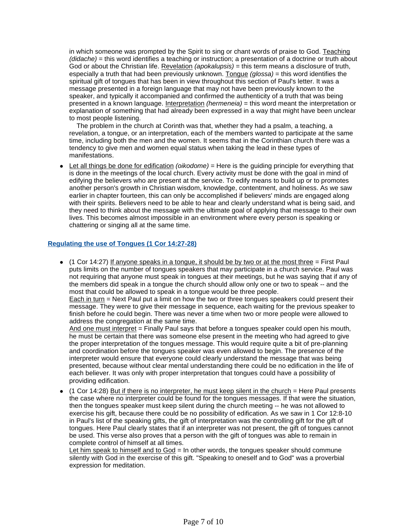in which someone was prompted by the Spirit to sing or chant words of praise to God. Teaching (didache) = this word identifies a teaching or instruction; a presentation of a doctrine or truth about God or about the Christian life. Revelation (apokalupsis) = this term means a disclosure of truth, especially a truth that had been previously unknown. Tongue  $(qlossa)$  = this word identifies the spiritual gift of tongues that has been in view throughout this section of Paul's letter. It was a message presented in a foreign language that may not have been previously known to the speaker, and typically it accompanied and confirmed the authenticity of a truth that was being presented in a known language. Interpretation (hermeneia) = this word meant the interpretation or explanation of something that had already been expressed in a way that might have been unclear to most people listening.

 The problem in the church at Corinth was that, whether they had a psalm, a teaching, a revelation, a tongue, or an interpretation, each of the members wanted to participate at the same time, including both the men and the women. It seems that in the Corinthian church there was a tendency to give men and women equal status when taking the lead in these types of manifestations.

 $\bullet$  Let all things be done for edification *(oikodome)* = Here is the quiding principle for everything that is done in the meetings of the local church. Every activity must be done with the goal in mind of edifying the believers who are present at the service. To edify means to build up or to promotes another person's growth in Christian wisdom, knowledge, contentment, and holiness. As we saw earlier in chapter fourteen, this can only be accomplished if believers' minds are engaged along with their spirits. Believers need to be able to hear and clearly understand what is being said, and they need to think about the message with the ultimate goal of applying that message to their own lives. This becomes almost impossible in an environment where every person is speaking or chattering or singing all at the same time.

### **Regulating the use of Tongues (1 Cor 14:27-28)**

 $\bullet$  (1 Cor 14:27) If anyone speaks in a tongue, it should be by two or at the most three = First Paul puts limits on the number of tongues speakers that may participate in a church service. Paul was not requiring that anyone must speak in tongues at their meetings, but he was saying that if any of the members did speak in a tongue the church should allow only one or two to speak -- and the most that could be allowed to speak in a tongue would be three people.

Each in turn = Next Paul put a limit on how the two or three tongues speakers could present their message. They were to give their message in sequence, each waiting for the previous speaker to finish before he could begin. There was never a time when two or more people were allowed to address the congregation at the same time.

And one must interpret = Finally Paul says that before a tongues speaker could open his mouth, he must be certain that there was someone else present in the meeting who had agreed to give the proper interpretation of the tongues message. This would require quite a bit of pre-planning and coordination before the tongues speaker was even allowed to begin. The presence of the interpreter would ensure that everyone could clearly understand the message that was being presented, because without clear mental understanding there could be no edification in the life of each believer. It was only with proper interpretation that tongues could have a possibility of providing edification.

(1 Cor 14:28) But if there is no interpreter, he must keep silent in the church = Here Paul presents the case where no interpreter could be found for the tongues messages. If that were the situation, then the tongues speaker must keep silent during the church meeting -- he was not allowed to exercise his gift, because there could be no possibility of edification. As we saw in 1 Cor 12:8-10 in Paul's list of the speaking gifts, the gift of interpretation was the controlling gift for the gift of tongues. Here Paul clearly states that if an interpreter was not present, the gift of tongues cannot be used. This verse also proves that a person with the gift of tongues was able to remain in complete control of himself at all times.

Let him speak to himself and to God = In other words, the tongues speaker should commune silently with God in the exercise of this gift. "Speaking to oneself and to God" was a proverbial expression for meditation.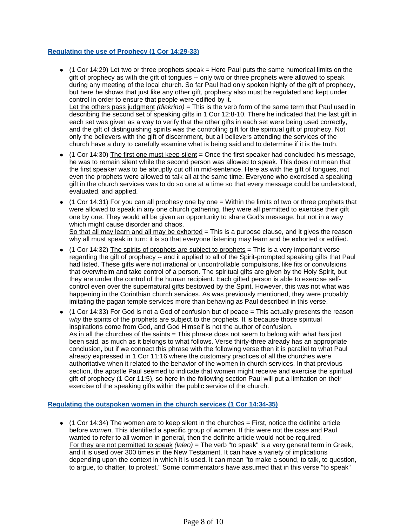## **Regulating the use of Prophecy (1 Cor 14:29-33)**

- $\bullet$  (1 Cor 14:29) Let two or three prophets speak = Here Paul puts the same numerical limits on the gift of prophecy as with the gift of tongues -- only two or three prophets were allowed to speak during any meeting of the local church. So far Paul had only spoken highly of the gift of prophecy, but here he shows that just like any other gift, prophecy also must be regulated and kept under control in order to ensure that people were edified by it. Let the others pass judgment (diakrino) = This is the verb form of the same term that Paul used in describing the second set of speaking gifts in 1 Cor 12:8-10. There he indicated that the last gift in each set was given as a way to verify that the other gifts in each set were being used correctly, and the gift of distinguishing spirits was the controlling gift for the spiritual gift of prophecy. Not only the believers with the gift of discernment, but all believers attending the services of the church have a duty to carefully examine what is being said and to determine if it is the truth.
- $\bullet$  (1 Cor 14:30) The first one must keep silent = Once the first speaker had concluded his message, he was to remain silent while the second person was allowed to speak. This does not mean that the first speaker was to be abruptly cut off in mid-sentence. Here as with the gift of tongues, not even the prophets were allowed to talk all at the same time. Everyone who exercised a speaking gift in the church services was to do so one at a time so that every message could be understood, evaluated, and applied.
- $\bullet$  (1 Cor 14:31) For you can all prophesy one by one = Within the limits of two or three prophets that were allowed to speak in any one church gathering, they were all permitted to exercise their gift one by one. They would all be given an opportunity to share God's message, but not in a way which might cause disorder and chaos. So that all may learn and all may be exhorted = This is a purpose clause, and it gives the reason why all must speak in turn: it is so that everyone listening may learn and be exhorted or edified.
- $\bullet$  (1 Cor 14:32) The spirits of prophets are subject to prophets = This is a very important verse regarding the gift of prophecy -- and it applied to all of the Spirit-prompted speaking gifts that Paul had listed. These gifts were not irrational or uncontrollable compulsions, like fits or convulsions that overwhelm and take control of a person. The spiritual gifts are given by the Holy Spirit, but they are under the control of the human recipient. Each gifted person is able to exercise selfcontrol even over the supernatural gifts bestowed by the Spirit. However, this was not what was happening in the Corinthian church services. As was previously mentioned, they were probably imitating the pagan temple services more than behaving as Paul described in this verse.
- $\bullet$  (1 Cor 14:33) For God is not a God of confusion but of peace = This actually presents the reason why the spirits of the prophets are subject to the prophets. It is because those spiritual inspirations come from God, and God Himself is not the author of confusion. As in all the churches of the saints = This phrase does not seem to belong with what has just been said, as much as it belongs to what follows. Verse thirty-three already has an appropriate conclusion, but if we connect this phrase with the following verse then it is parallel to what Paul already expressed in 1 Cor 11:16 where the customary practices of all the churches were authoritative when it related to the behavior of the women in church services. In that previous section, the apostle Paul seemed to indicate that women might receive and exercise the spiritual gift of prophecy (1 Cor 11:5), so here in the following section Paul will put a limitation on their exercise of the speaking gifts within the public service of the church.

## **Regulating the outspoken women in the church services (1 Cor 14:34-35)**

 $\bullet$  (1 Cor 14:34) The women are to keep silent in the churches = First, notice the definite article before women. This identified a specific group of women. If this were not the case and Paul wanted to refer to all women in general, then the definite article would not be required. For they are not permitted to speak  $(laleo)$  = The verb "to speak" is a very general term in Greek, and it is used over 300 times in the New Testament. It can have a variety of implications depending upon the context in which it is used. It can mean "to make a sound, to talk, to question, to argue, to chatter, to protest." Some commentators have assumed that in this verse "to speak"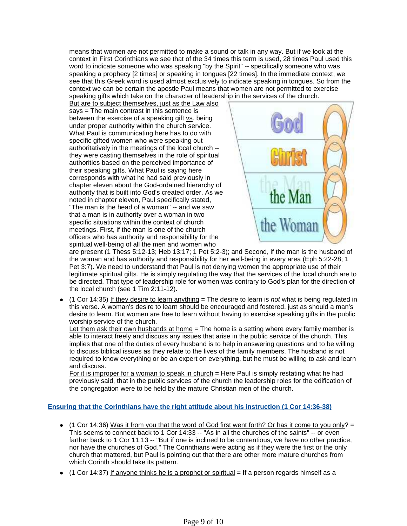means that women are not permitted to make a sound or talk in any way. But if we look at the context in First Corinthians we see that of the 34 times this term is used, 28 times Paul used this word to indicate someone who was speaking "by the Spirit" -- specifically someone who was speaking a prophecy [2 times] or speaking in tongues [22 times]. In the immediate context, we see that this Greek word is used almost exclusively to indicate speaking in tongues. So from the context we can be certain the apostle Paul means that women are not permitted to exercise speaking gifts which take on the character of leadership in the services of the church.

But are to subject themselves, just as the Law also says = The main contrast in this sentence is between the exercise of a speaking gift vs. being under proper authority within the church service. What Paul is communicating here has to do with specific gifted women who were speaking out authoritatively in the meetings of the local church - they were casting themselves in the role of spiritual authorities based on the perceived importance of their speaking gifts. What Paul is saying here corresponds with what he had said previously in chapter eleven about the God-ordained hierarchy of authority that is built into God's created order. As we noted in chapter eleven, Paul specifically stated, "The man is the head of a woman" -- and we saw that a man is in authority over a woman in two specific situations within the context of church meetings. First, if the man is one of the church officers who has authority and responsibility for the spiritual well-being of all the men and women who



are present (1 Thess 5:12-13; Heb 13:17; 1 Pet 5:2-3); and Second, if the man is the husband of the woman and has authority and responsibility for her well-being in every area (Eph 5:22-28; 1 Pet 3:7). We need to understand that Paul is not denying women the appropriate use of their legitimate spiritual gifts. He is simply regulating the way that the services of the local church are to be directed. That type of leadership role for women was contrary to God's plan for the direction of the local church (see 1 Tim 2:11-12).

 $(1$  Cor 14:35) If they desire to learn anything = The desire to learn is *not* what is being regulated in this verse. A woman's desire to learn should be encouraged and fostered, just as should a man's desire to learn. But women are free to learn without having to exercise speaking gifts in the public worship service of the church.

Let them ask their own husbands at home = The home is a setting where every family member is able to interact freely and discuss any issues that arise in the public service of the church. This implies that one of the duties of every husband is to help in answering questions and to be willing to discuss biblical issues as they relate to the lives of the family members. The husband is not required to know everything or be an expert on everything, but he must be willing to ask and learn and discuss.

For it is improper for a woman to speak in church = Here Paul is simply restating what he had previously said, that in the public services of the church the leadership roles for the edification of the congregation were to be held by the mature Christian men of the church.

## **Ensuring that the Corinthians have the right attitude about his instruction (1 Cor 14:36-38)**

- $\bullet$  (1 Cor 14:36) Was it from you that the word of God first went forth? Or has it come to you only? = This seems to connect back to 1 Cor 14:33 -- "As in all the churches of the saints" -- or even farther back to 1 Cor 11:13 -- "But if one is inclined to be contentious, we have no other practice, nor have the churches of God." The Corinthians were acting as if they were the first or the only church that mattered, but Paul is pointing out that there are other more mature churches from which Corinth should take its pattern.
- $\bullet$  (1 Cor 14:37) If anyone thinks he is a prophet or spiritual  $=$  If a person regards himself as a